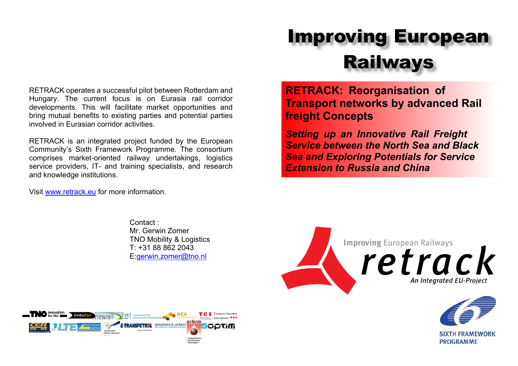RETRACK operates a successful pilot between Rotterdam and Hungary. The current focus is on Eurasia rail corridor developments. This will facilitate market opportunities and bring mutual benefits to existing parties and potential parties involved in Eurasian corridor activities.

RETRACK is an integrated project funded by the European Community's Sixth Framework Programme. The consortium comprises market-oriented railway undertakings, logistics service providers, IT- and training specialists, and research and knowledge institutions.

Visit [www.retrack.eu](http://www.retrack.eu) for more information.

Contact : Mr. Gerwin Zomer TNO Mobility & Logistics T: +31 88 862 2043 E[:gerwin.zomer@tno.nl](mailto:gerwin.zomer@tno.nl)



**RETRACK: Reorganisation of Transport networks by advanced Rail freight Concepts**

*Setting up an Innovative Rail Freight Service between the North Sea and Black Sea and Exploring Potentials for Service Extension to Russia and China*